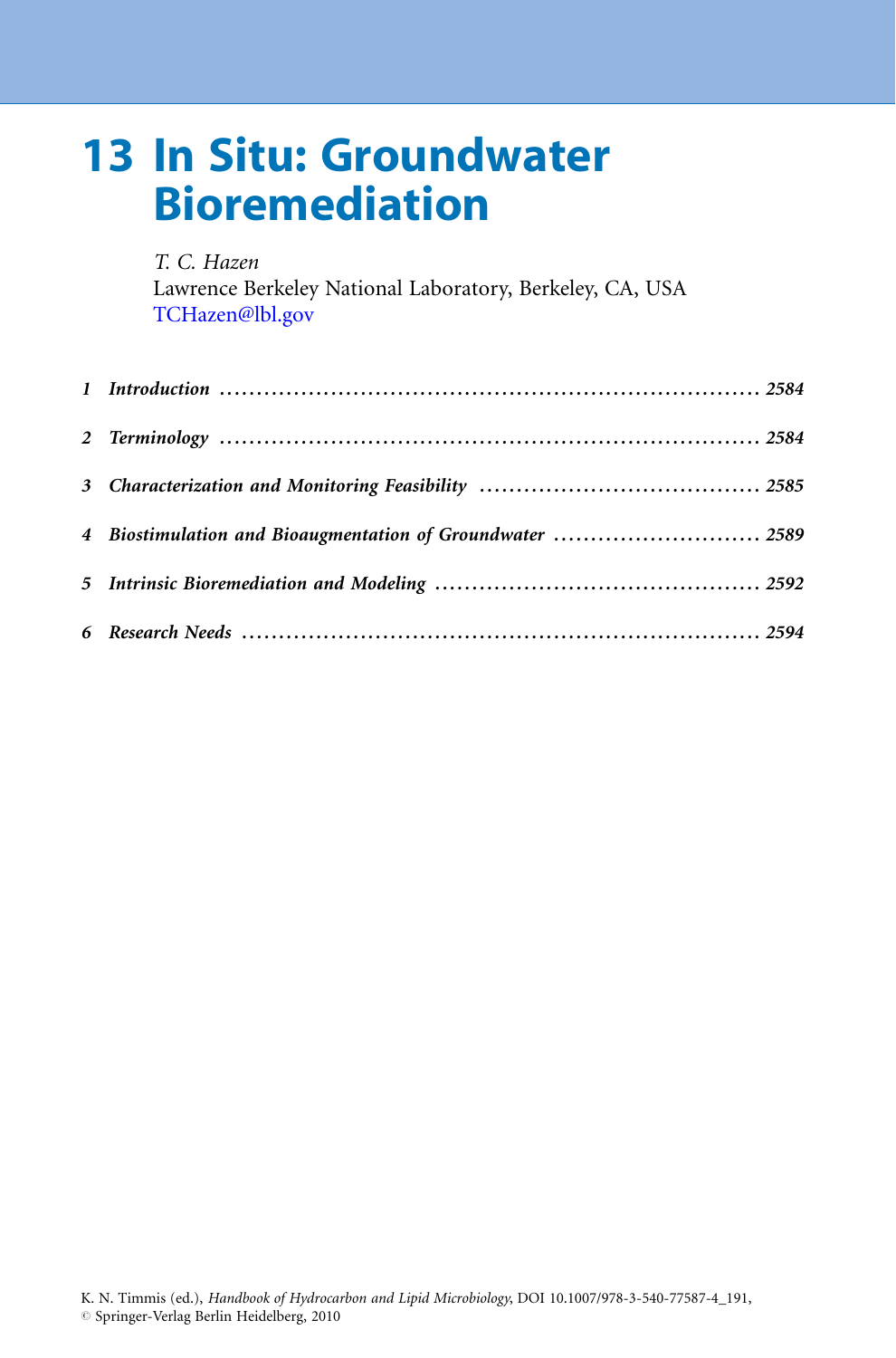# 13 In Situ: Groundwater Bioremediation

T. C. Hazen

Lawrence Berkeley National Laboratory, Berkeley, CA, USA [TCHazen@lbl.gov](mailto:TCHazen@lbl.gov)

| 4 Biostimulation and Bioaugmentation of Groundwater  2589 |  |
|-----------------------------------------------------------|--|
|                                                           |  |
|                                                           |  |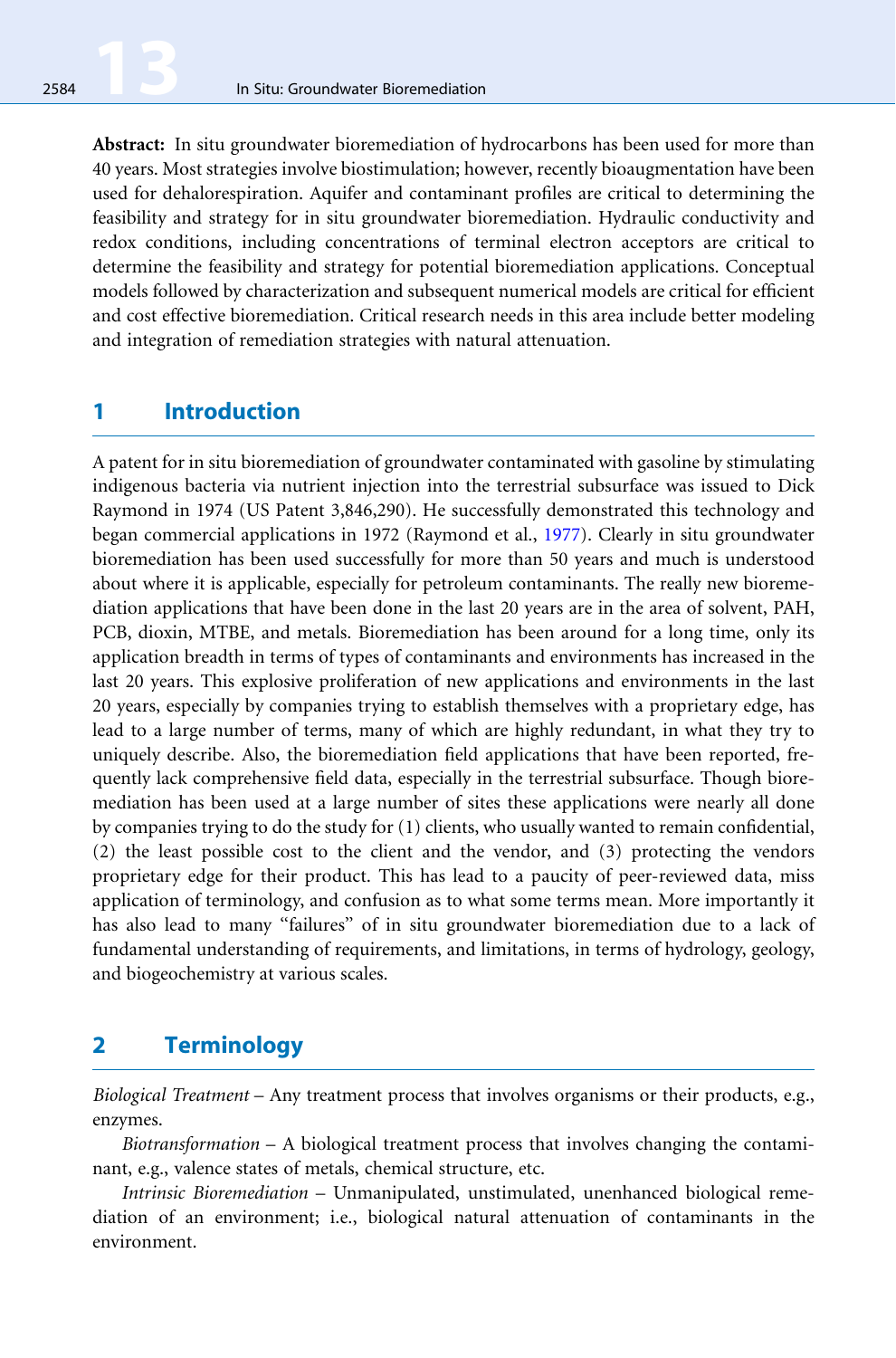Abstract: In situ groundwater bioremediation of hydrocarbons has been used for more than 40 years. Most strategies involve biostimulation; however, recently bioaugmentation have been used for dehalorespiration. Aquifer and contaminant profiles are critical to determining the feasibility and strategy for in situ groundwater bioremediation. Hydraulic conductivity and redox conditions, including concentrations of terminal electron acceptors are critical to determine the feasibility and strategy for potential bioremediation applications. Conceptual models followed by characterization and subsequent numerical models are critical for efficient and cost effective bioremediation. Critical research needs in this area include better modeling and integration of remediation strategies with natural attenuation.

## 1 Introduction

A patent for in situ bioremediation of groundwater contaminated with gasoline by stimulating indigenous bacteria via nutrient injection into the terrestrial subsurface was issued to Dick Raymond in 1974 (US Patent 3,846,290). He successfully demonstrated this technology and began commercial applications in 1972 (Raymond et al., [1977\)](#page-13-0). Clearly in situ groundwater bioremediation has been used successfully for more than 50 years and much is understood about where it is applicable, especially for petroleum contaminants. The really new bioremediation applications that have been done in the last 20 years are in the area of solvent, PAH, PCB, dioxin, MTBE, and metals. Bioremediation has been around for a long time, only its application breadth in terms of types of contaminants and environments has increased in the last 20 years. This explosive proliferation of new applications and environments in the last 20 years, especially by companies trying to establish themselves with a proprietary edge, has lead to a large number of terms, many of which are highly redundant, in what they try to uniquely describe. Also, the bioremediation field applications that have been reported, frequently lack comprehensive field data, especially in the terrestrial subsurface. Though bioremediation has been used at a large number of sites these applications were nearly all done by companies trying to do the study for (1) clients, who usually wanted to remain confidential, (2) the least possible cost to the client and the vendor, and (3) protecting the vendors proprietary edge for their product. This has lead to a paucity of peer-reviewed data, miss application of terminology, and confusion as to what some terms mean. More importantly it has also lead to many ''failures'' of in situ groundwater bioremediation due to a lack of fundamental understanding of requirements, and limitations, in terms of hydrology, geology, and biogeochemistry at various scales.

## 2 Terminology

Biological Treatment – Any treatment process that involves organisms or their products, e.g., enzymes.

Biotransformation  $- A$  biological treatment process that involves changing the contaminant, e.g., valence states of metals, chemical structure, etc.

Intrinsic Bioremediation – Unmanipulated, unstimulated, unenhanced biological remediation of an environment; i.e., biological natural attenuation of contaminants in the environment.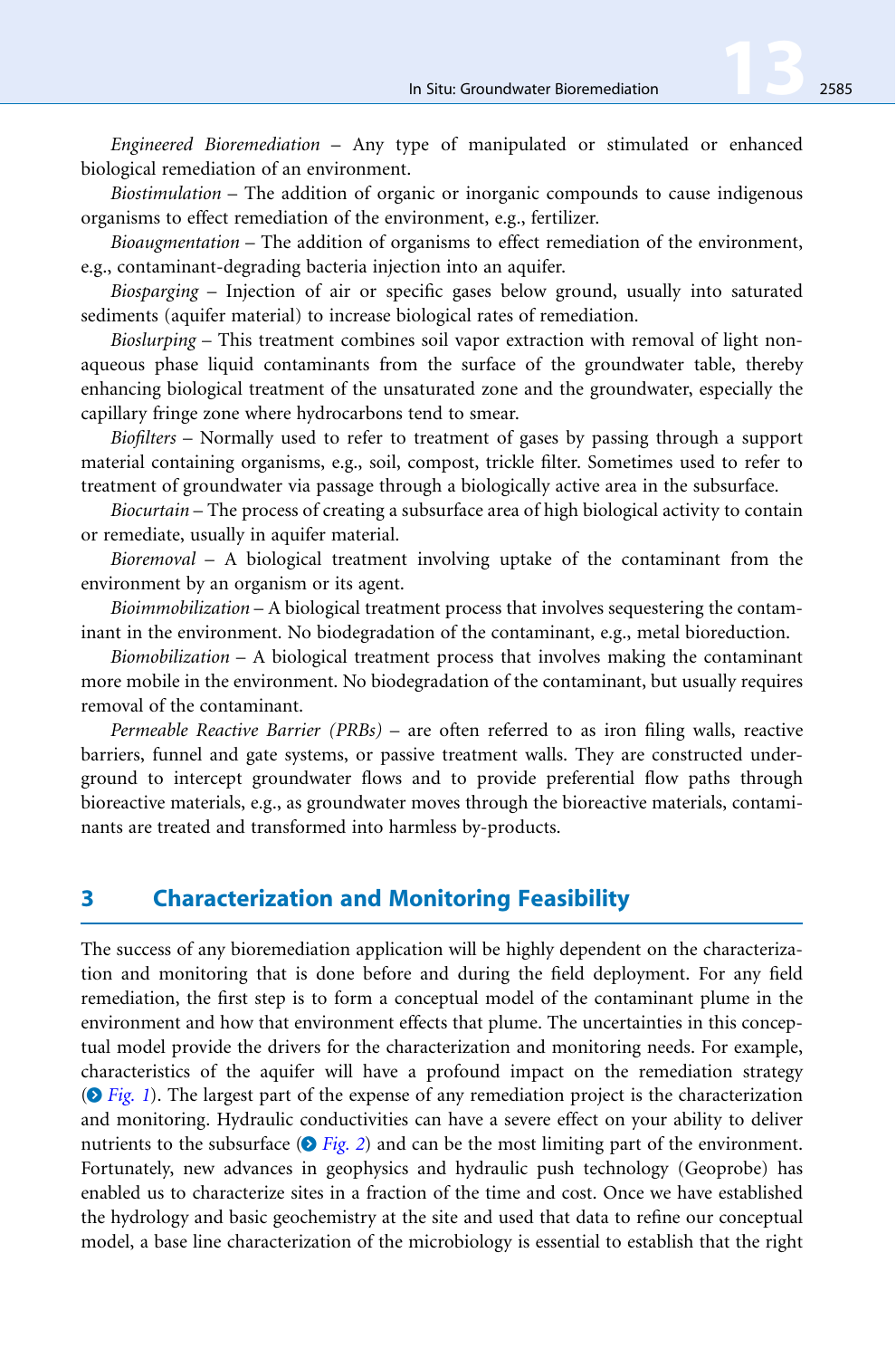Engineered Bioremediation – Any type of manipulated or stimulated or enhanced biological remediation of an environment.

Biostimulation – The addition of organic or inorganic compounds to cause indigenous organisms to effect remediation of the environment, e.g., fertilizer.

Bioaugmentation – The addition of organisms to effect remediation of the environment, e.g., contaminant-degrading bacteria injection into an aquifer.

Biosparging – Injection of air or specific gases below ground, usually into saturated sediments (aquifer material) to increase biological rates of remediation.

Bioslurping – This treatment combines soil vapor extraction with removal of light nonaqueous phase liquid contaminants from the surface of the groundwater table, thereby enhancing biological treatment of the unsaturated zone and the groundwater, especially the capillary fringe zone where hydrocarbons tend to smear.

Biofilters – Normally used to refer to treatment of gases by passing through a support material containing organisms, e.g., soil, compost, trickle filter. Sometimes used to refer to treatment of groundwater via passage through a biologically active area in the subsurface.

Biocurtain – The process of creating a subsurface area of high biological activity to contain or remediate, usually in aquifer material.

Bioremoval – A biological treatment involving uptake of the contaminant from the environment by an organism or its agent.

Bioimmobilization – A biological treatment process that involves sequestering the contaminant in the environment. No biodegradation of the contaminant, e.g., metal bioreduction.

*Biomobilization*  $- A$  biological treatment process that involves making the contaminant more mobile in the environment. No biodegradation of the contaminant, but usually requires removal of the contaminant.

Permeable Reactive Barrier (PRBs) – are often referred to as iron filing walls, reactive barriers, funnel and gate systems, or passive treatment walls. They are constructed underground to intercept groundwater flows and to provide preferential flow paths through bioreactive materials, e.g., as groundwater moves through the bioreactive materials, contaminants are treated and transformed into harmless by-products.

## 3 Characterization and Monitoring Feasibility

The success of any bioremediation application will be highly dependent on the characterization and monitoring that is done before and during the field deployment. For any field remediation, the first step is to form a conceptual model of the contaminant plume in the environment and how that environment effects that plume. The uncertainties in this conceptual model provide the drivers for the characterization and monitoring needs. For example, characteristics of the aquifer will have a profound impact on the remediation strategy  $(\odot$  [Fig. 1](#page-3-0)). The largest part of the expense of any remediation project is the characterization and monitoring. Hydraulic conductivities can have a severe effect on your ability to deliver nutrients to the subsurface ( $\odot$  [Fig. 2](#page-4-0)) and can be the most limiting part of the environment. Fortunately, new advances in geophysics and hydraulic push technology (Geoprobe) has enabled us to characterize sites in a fraction of the time and cost. Once we have established the hydrology and basic geochemistry at the site and used that data to refine our conceptual model, a base line characterization of the microbiology is essential to establish that the right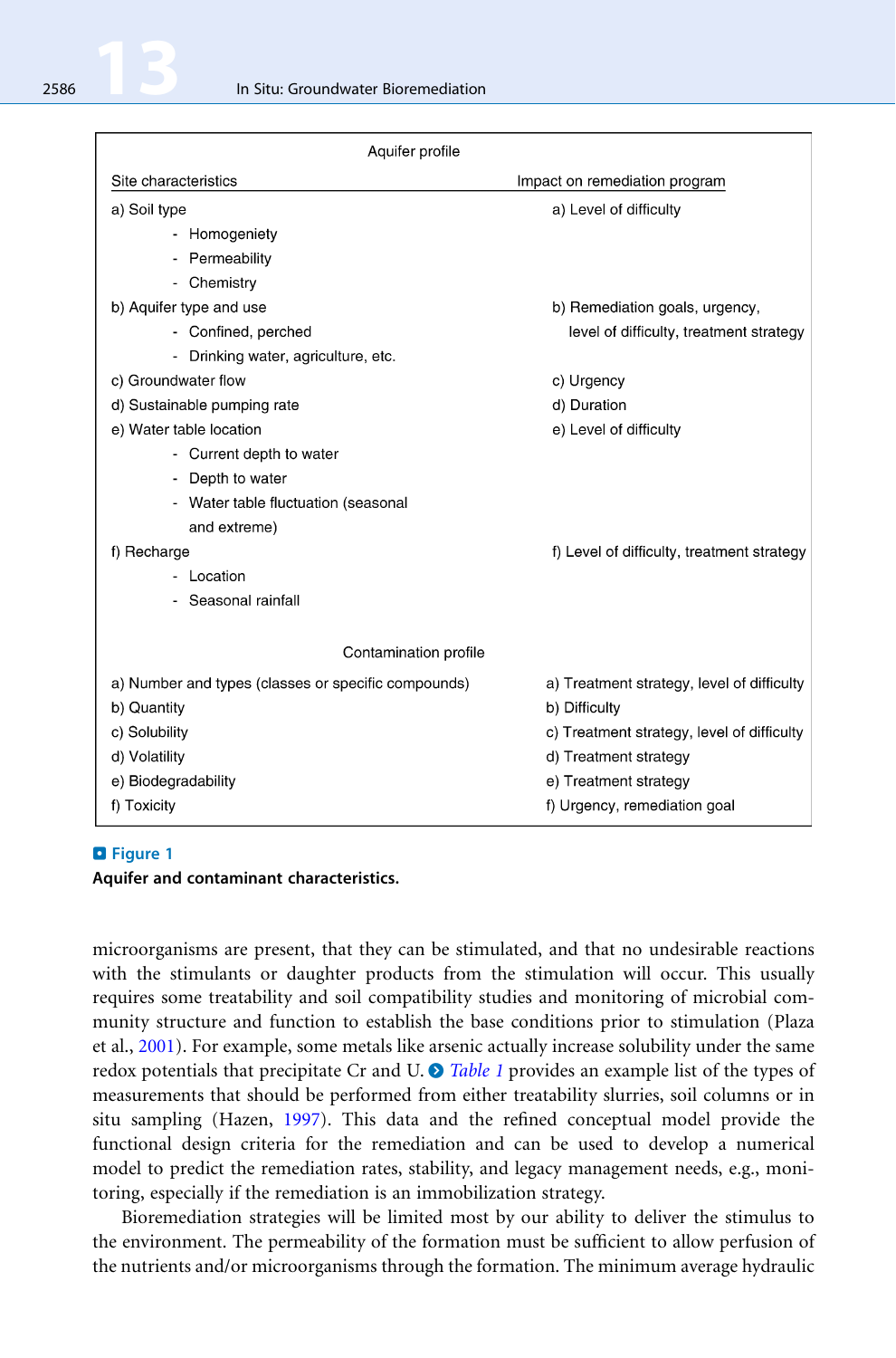<span id="page-3-0"></span>

| Aquifer profile                                     |                                            |  |  |
|-----------------------------------------------------|--------------------------------------------|--|--|
| Site characteristics                                | Impact on remediation program              |  |  |
| a) Soil type                                        | a) Level of difficulty                     |  |  |
| - Homogeniety                                       |                                            |  |  |
| - Permeability                                      |                                            |  |  |
| - Chemistry                                         |                                            |  |  |
| b) Aquifer type and use                             | b) Remediation goals, urgency,             |  |  |
| - Confined, perched                                 | level of difficulty, treatment strategy    |  |  |
| - Drinking water, agriculture, etc.                 |                                            |  |  |
| c) Groundwater flow                                 | c) Urgency                                 |  |  |
| d) Sustainable pumping rate                         | d) Duration                                |  |  |
| e) Water table location                             | e) Level of difficulty                     |  |  |
| - Current depth to water                            |                                            |  |  |
| - Depth to water                                    |                                            |  |  |
| - Water table fluctuation (seasonal                 |                                            |  |  |
| and extreme)                                        |                                            |  |  |
| f) Recharge                                         | f) Level of difficulty, treatment strategy |  |  |
| - Location                                          |                                            |  |  |
| Seasonal rainfall                                   |                                            |  |  |
| Contamination profile                               |                                            |  |  |
| a) Number and types (classes or specific compounds) | a) Treatment strategy, level of difficulty |  |  |
| b) Quantity                                         | b) Difficulty                              |  |  |
| c) Solubility                                       | c) Treatment strategy, level of difficulty |  |  |
| d) Volatility                                       | d) Treatment strategy                      |  |  |
| e) Biodegradability                                 | e) Treatment strategy                      |  |  |
| f) Toxicity                                         | f) Urgency, remediation goal               |  |  |

#### **D** Figure 1

Aquifer and contaminant characteristics.

microorganisms are present, that they can be stimulated, and that no undesirable reactions with the stimulants or daughter products from the stimulation will occur. This usually requires some treatability and soil compatibility studies and monitoring of microbial community structure and function to establish the base conditions prior to stimulation (Plaza et al., [2001](#page-13-0)). For example, some metals like arsenic actually increase solubility under the same redox potentials that precipitate Cr and U.  $\odot$  [Table 1](#page-5-0) provides an example list of the types of measurements that should be performed from either treatability slurries, soil columns or in situ sampling (Hazen, [1997](#page-12-0)). This data and the refined conceptual model provide the functional design criteria for the remediation and can be used to develop a numerical model to predict the remediation rates, stability, and legacy management needs, e.g., monitoring, especially if the remediation is an immobilization strategy.

Bioremediation strategies will be limited most by our ability to deliver the stimulus to the environment. The permeability of the formation must be sufficient to allow perfusion of the nutrients and/or microorganisms through the formation. The minimum average hydraulic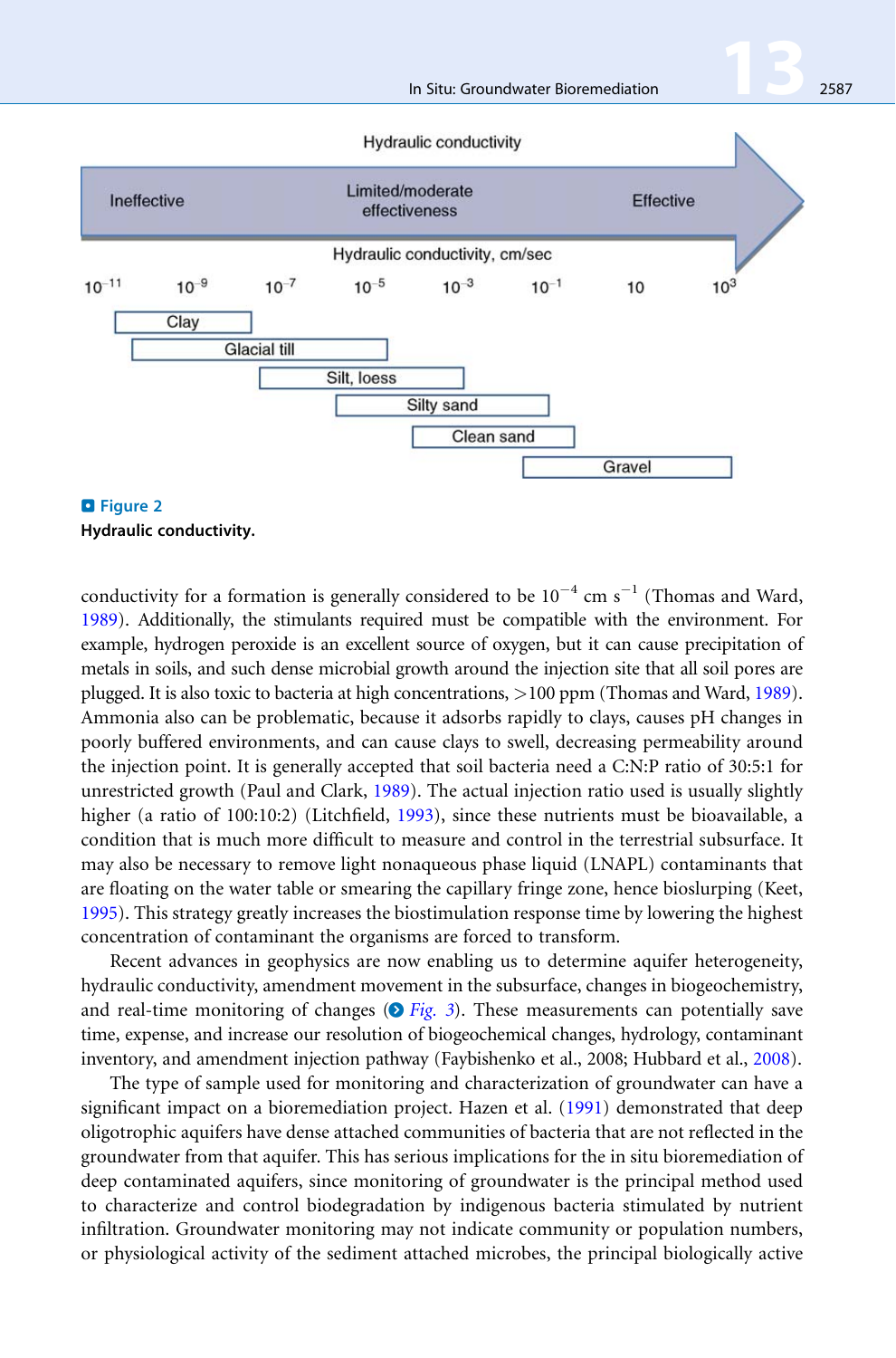<span id="page-4-0"></span>



conductivity for a formation is generally considered to be  $10^{-4}$  cm s<sup>-1</sup> (Thomas and Ward, [1989\)](#page-13-0). Additionally, the stimulants required must be compatible with the environment. For example, hydrogen peroxide is an excellent source of oxygen, but it can cause precipitation of metals in soils, and such dense microbial growth around the injection site that all soil pores are plugged. It is also toxic to bacteria at high concentrations, >100 ppm (Thomas and Ward, [1989](#page-13-0)). Ammonia also can be problematic, because it adsorbs rapidly to clays, causes pH changes in poorly buffered environments, and can cause clays to swell, decreasing permeability around the injection point. It is generally accepted that soil bacteria need a C:N:P ratio of 30:5:1 for unrestricted growth (Paul and Clark, [1989](#page-13-0)). The actual injection ratio used is usually slightly higher (a ratio of 100:10:2) (Litchfield, [1993\)](#page-13-0), since these nutrients must be bioavailable, a condition that is much more difficult to measure and control in the terrestrial subsurface. It may also be necessary to remove light nonaqueous phase liquid (LNAPL) contaminants that are floating on the water table or smearing the capillary fringe zone, hence bioslurping (Keet, [1995\)](#page-13-0). This strategy greatly increases the biostimulation response time by lowering the highest concentration of contaminant the organisms are forced to transform.

Recent advances in geophysics are now enabling us to determine aquifer heterogeneity, hydraulic conductivity, amendment movement in the subsurface, changes in biogeochemistry, and real-time monitoring of changes ( $\bullet$  [Fig. 3](#page-6-0)). These measurements can potentially save time, expense, and increase our resolution of biogeochemical changes, hydrology, contaminant inventory, and amendment injection pathway (Faybishenko et al., 2008; Hubbard et al., [2008\)](#page-12-0).

The type of sample used for monitoring and characterization of groundwater can have a significant impact on a bioremediation project. Hazen et al. [\(1991\)](#page-12-0) demonstrated that deep oligotrophic aquifers have dense attached communities of bacteria that are not reflected in the groundwater from that aquifer. This has serious implications for the in situ bioremediation of deep contaminated aquifers, since monitoring of groundwater is the principal method used to characterize and control biodegradation by indigenous bacteria stimulated by nutrient infiltration. Groundwater monitoring may not indicate community or population numbers, or physiological activity of the sediment attached microbes, the principal biologically active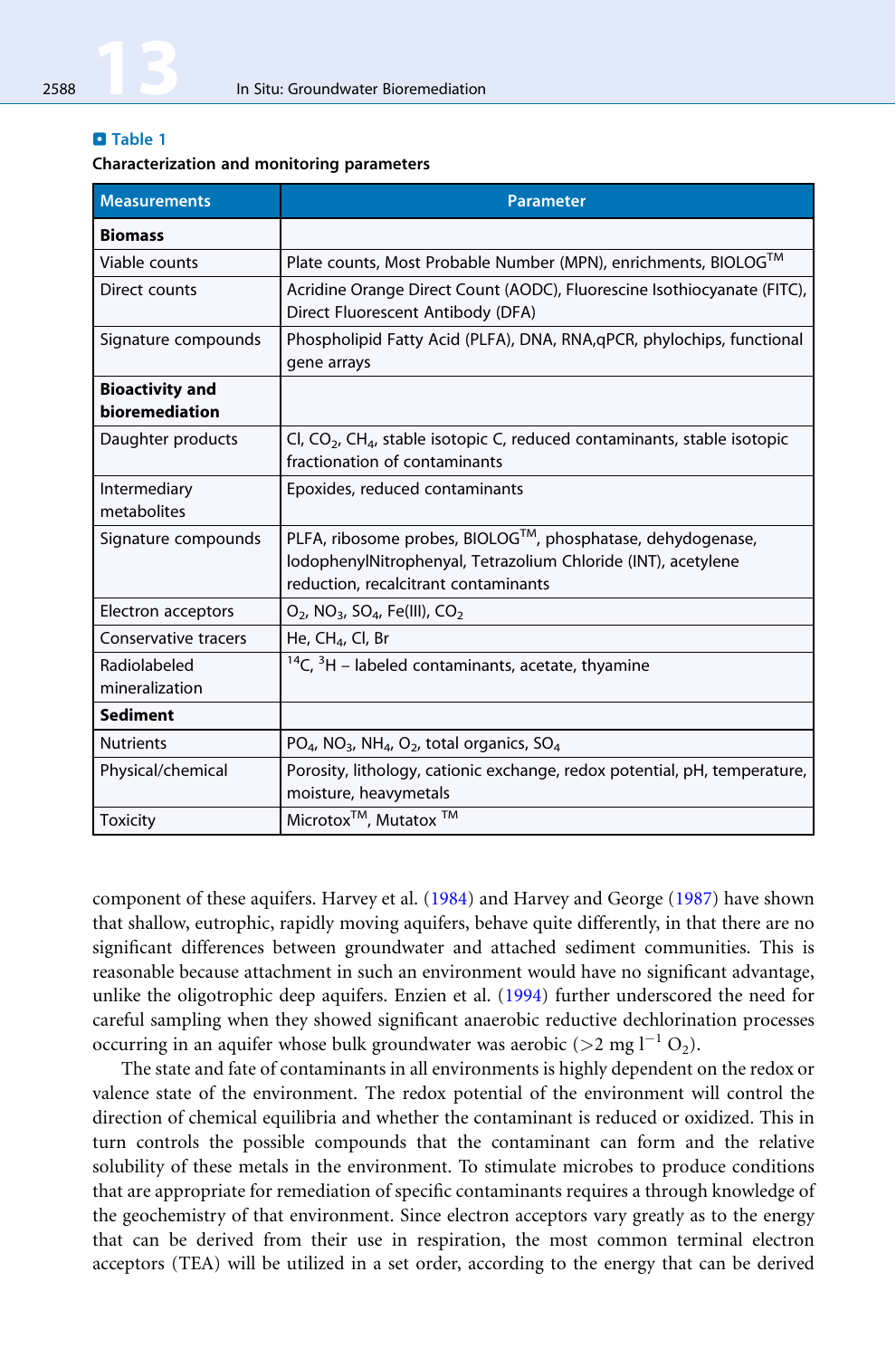### <span id="page-5-0"></span>**D**. Table 1

#### Characterization and monitoring parameters

| <b>Measurements</b>                      | <b>Parameter</b>                                                                                                                                                    |
|------------------------------------------|---------------------------------------------------------------------------------------------------------------------------------------------------------------------|
| <b>Biomass</b>                           |                                                                                                                                                                     |
| Viable counts                            | Plate counts, Most Probable Number (MPN), enrichments, BIOLOG™                                                                                                      |
| Direct counts                            | Acridine Orange Direct Count (AODC), Fluorescine Isothiocyanate (FITC),<br>Direct Fluorescent Antibody (DFA)                                                        |
| Signature compounds                      | Phospholipid Fatty Acid (PLFA), DNA, RNA, gPCR, phylochips, functional<br>gene arrays                                                                               |
| <b>Bioactivity and</b><br>bioremediation |                                                                                                                                                                     |
| Daughter products                        | $Cl, CO2, CH4$ , stable isotopic C, reduced contaminants, stable isotopic<br>fractionation of contaminants                                                          |
| Intermediary<br>metabolites              | Epoxides, reduced contaminants                                                                                                                                      |
| Signature compounds                      | PLFA, ribosome probes, BIOLOG™, phosphatase, dehydogenase,<br>lodophenylNitrophenyal, Tetrazolium Chloride (INT), acetylene<br>reduction, recalcitrant contaminants |
| Electron acceptors                       | O <sub>2</sub> , NO <sub>3</sub> , SO <sub>4</sub> , Fe(III), CO <sub>2</sub>                                                                                       |
| Conservative tracers                     | He, $CH4$ , Cl, Br                                                                                                                                                  |
| Radiolabeled<br>mineralization           | $^{14}$ C, $^{3}$ H – labeled contaminants, acetate, thyamine                                                                                                       |
| <b>Sediment</b>                          |                                                                                                                                                                     |
| <b>Nutrients</b>                         | PO <sub>4</sub> , NO <sub>3</sub> , NH <sub>4</sub> , O <sub>2</sub> , total organics, SO <sub>4</sub>                                                              |
| Physical/chemical                        | Porosity, lithology, cationic exchange, redox potential, pH, temperature,<br>moisture, heavymetals                                                                  |
| Toxicity                                 | Microtox <sup>™</sup> , Mutatox <sup>™</sup>                                                                                                                        |

component of these aquifers. Harvey et al. [\(1984](#page-12-0)) and Harvey and George [\(1987](#page-12-0)) have shown that shallow, eutrophic, rapidly moving aquifers, behave quite differently, in that there are no significant differences between groundwater and attached sediment communities. This is reasonable because attachment in such an environment would have no significant advantage, unlike the oligotrophic deep aquifers. Enzien et al. ([1994\)](#page-12-0) further underscored the need for careful sampling when they showed significant anaerobic reductive dechlorination processes occurring in an aquifer whose bulk groundwater was aerobic ( $>2$  mg  $l^{-1}$  O<sub>2</sub>).

The state and fate of contaminants in all environments is highly dependent on the redox or valence state of the environment. The redox potential of the environment will control the direction of chemical equilibria and whether the contaminant is reduced or oxidized. This in turn controls the possible compounds that the contaminant can form and the relative solubility of these metals in the environment. To stimulate microbes to produce conditions that are appropriate for remediation of specific contaminants requires a through knowledge of the geochemistry of that environment. Since electron acceptors vary greatly as to the energy that can be derived from their use in respiration, the most common terminal electron acceptors (TEA) will be utilized in a set order, according to the energy that can be derived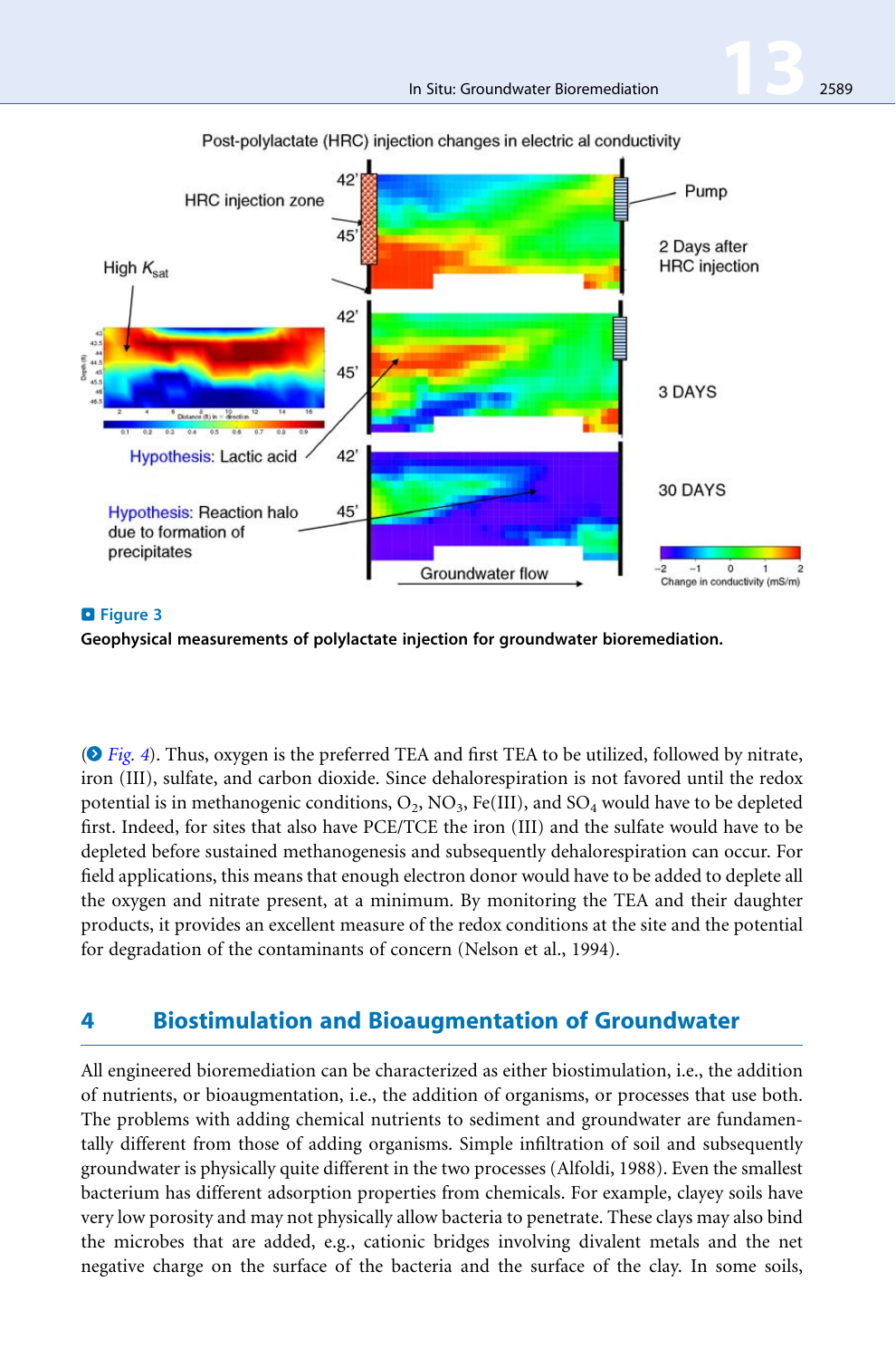<span id="page-6-0"></span>

**D** Figure 3 Geophysical measurements of polylactate injection for groundwater bioremediation.

([>](#page-7-0) [Fig. 4](#page-7-0)). Thus, oxygen is the preferred TEA and first TEA to be utilized, followed by nitrate, iron (III), sulfate, and carbon dioxide. Since dehalorespiration is not favored until the redox potential is in methanogenic conditions,  $O_2$ ,  $NO_3$ , Fe(III), and  $SO_4$  would have to be depleted first. Indeed, for sites that also have PCE/TCE the iron (III) and the sulfate would have to be depleted before sustained methanogenesis and subsequently dehalorespiration can occur. For field applications, this means that enough electron donor would have to be added to deplete all the oxygen and nitrate present, at a minimum. By monitoring the TEA and their daughter products, it provides an excellent measure of the redox conditions at the site and the potential for degradation of the contaminants of concern (Nelson et al., 1994).

## 4 Biostimulation and Bioaugmentation of Groundwater

All engineered bioremediation can be characterized as either biostimulation, i.e., the addition of nutrients, or bioaugmentation, i.e., the addition of organisms, or processes that use both. The problems with adding chemical nutrients to sediment and groundwater are fundamentally different from those of adding organisms. Simple infiltration of soil and subsequently groundwater is physically quite different in the two processes (Alfoldi, 1988). Even the smallest bacterium has different adsorption properties from chemicals. For example, clayey soils have very low porosity and may not physically allow bacteria to penetrate. These clays may also bind the microbes that are added, e.g., cationic bridges involving divalent metals and the net negative charge on the surface of the bacteria and the surface of the clay. In some soils,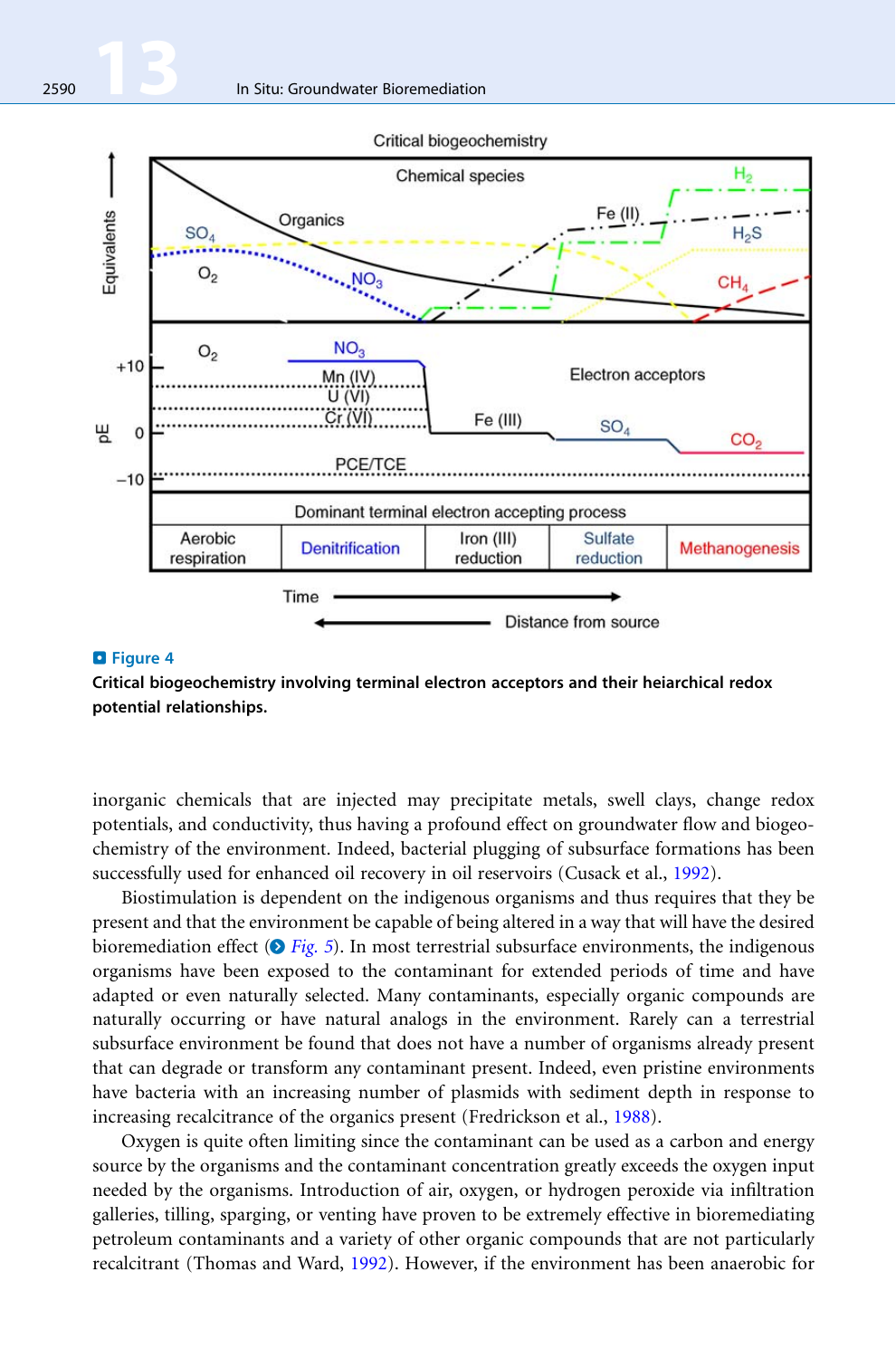<span id="page-7-0"></span>

#### **D** Figure 4

Critical biogeochemistry involving terminal electron acceptors and their heiarchical redox potential relationships.

inorganic chemicals that are injected may precipitate metals, swell clays, change redox potentials, and conductivity, thus having a profound effect on groundwater flow and biogeochemistry of the environment. Indeed, bacterial plugging of subsurface formations has been successfully used for enhanced oil recovery in oil reservoirs (Cusack et al., [1992](#page-12-0)).

Biostimulation is dependent on the indigenous organisms and thus requires that they be present and that the environment be capable of being altered in a way that will have the desired bioremediation effect  $(①$  [Fig. 5](#page-8-0)). In most terrestrial subsurface environments, the indigenous organisms have been exposed to the contaminant for extended periods of time and have adapted or even naturally selected. Many contaminants, especially organic compounds are naturally occurring or have natural analogs in the environment. Rarely can a terrestrial subsurface environment be found that does not have a number of organisms already present that can degrade or transform any contaminant present. Indeed, even pristine environments have bacteria with an increasing number of plasmids with sediment depth in response to increasing recalcitrance of the organics present (Fredrickson et al., [1988](#page-12-0)).

Oxygen is quite often limiting since the contaminant can be used as a carbon and energy source by the organisms and the contaminant concentration greatly exceeds the oxygen input needed by the organisms. Introduction of air, oxygen, or hydrogen peroxide via infiltration galleries, tilling, sparging, or venting have proven to be extremely effective in bioremediating petroleum contaminants and a variety of other organic compounds that are not particularly recalcitrant (Thomas and Ward, [1992\)](#page-13-0). However, if the environment has been anaerobic for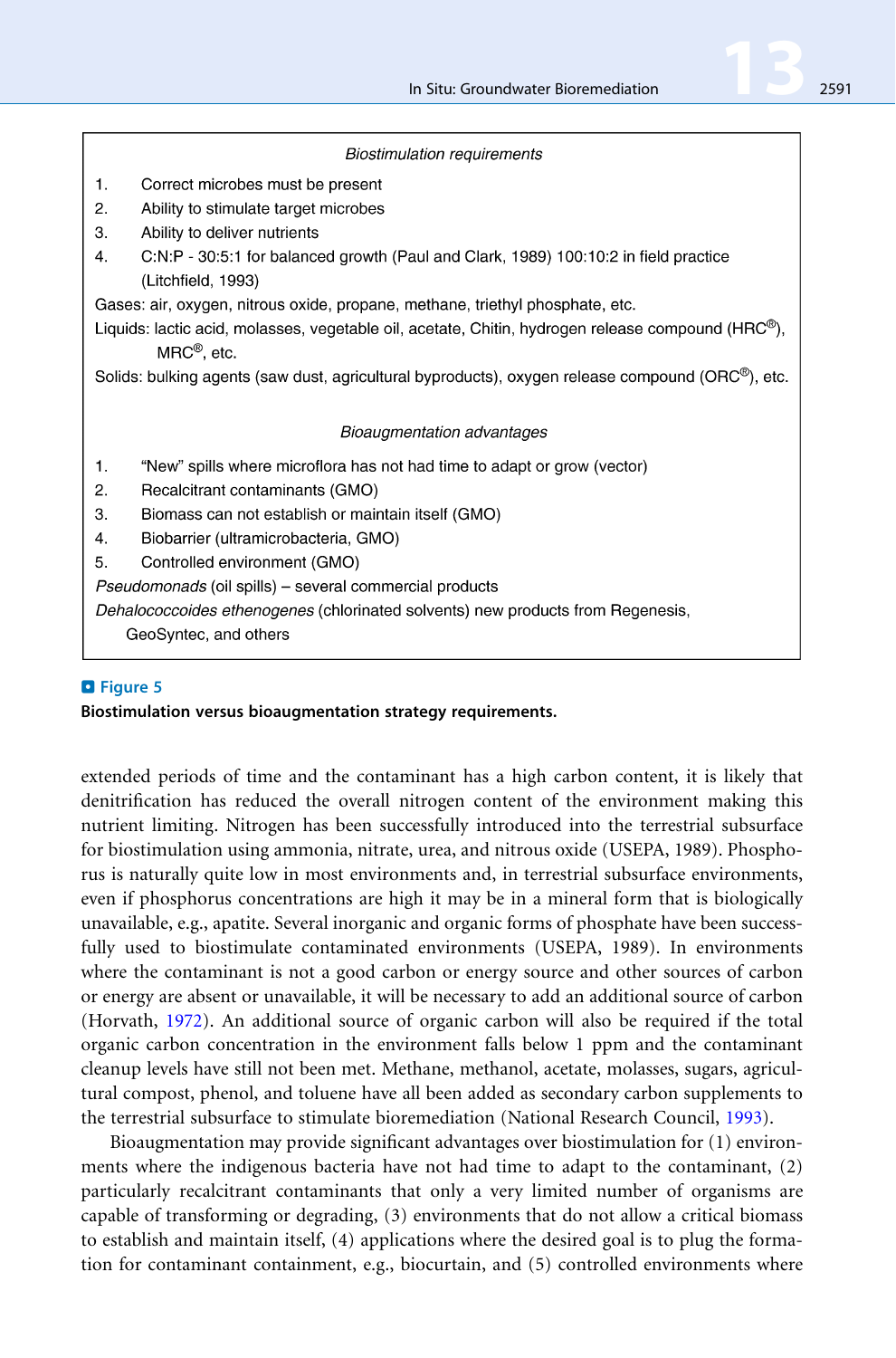#### **Biostimulation requirements**

- <span id="page-8-0"></span>1. Correct microbes must be present
- $\overline{2}$ . Ability to stimulate target microbes
- Ability to deliver nutrients 3.
- C:N:P 30:5:1 for balanced growth (Paul and Clark, 1989) 100:10:2 in field practice  $\overline{4}$ . (Litchfield, 1993)

Gases: air, oxygen, nitrous oxide, propane, methane, triethyl phosphate, etc.

Liquids: lactic acid, molasses, vegetable oil, acetate, Chitin, hydrogen release compound (HRC®),  $MRC^{\circledR}$  etc.

Solids: bulking agents (saw dust, agricultural byproducts), oxygen release compound (ORC®), etc.

#### Bioaugmentation advantages

- $\mathbf 1$ . "New" spills where microflora has not had time to adapt or grow (vector)
- $2.$ Recalcitrant contaminants (GMO)
- 3. Biomass can not establish or maintain itself (GMO)
- Biobarrier (ultramicrobacteria, GMO)  $\overline{4}$ .
- 5. Controlled environment (GMO)

Pseudomonads (oil spills) - several commercial products

Dehalococcoides ethenogenes (chlorinated solvents) new products from Regenesis,

GeoSyntec, and others

#### **D** Figure 5

#### Biostimulation versus bioaugmentation strategy requirements.

extended periods of time and the contaminant has a high carbon content, it is likely that denitrification has reduced the overall nitrogen content of the environment making this nutrient limiting. Nitrogen has been successfully introduced into the terrestrial subsurface for biostimulation using ammonia, nitrate, urea, and nitrous oxide (USEPA, 1989). Phosphorus is naturally quite low in most environments and, in terrestrial subsurface environments, even if phosphorus concentrations are high it may be in a mineral form that is biologically unavailable, e.g., apatite. Several inorganic and organic forms of phosphate have been successfully used to biostimulate contaminated environments (USEPA, 1989). In environments where the contaminant is not a good carbon or energy source and other sources of carbon or energy are absent or unavailable, it will be necessary to add an additional source of carbon (Horvath, [1972\)](#page-12-0). An additional source of organic carbon will also be required if the total organic carbon concentration in the environment falls below 1 ppm and the contaminant cleanup levels have still not been met. Methane, methanol, acetate, molasses, sugars, agricultural compost, phenol, and toluene have all been added as secondary carbon supplements to the terrestrial subsurface to stimulate bioremediation (National Research Council, [1993](#page-13-0)).

Bioaugmentation may provide significant advantages over biostimulation for (1) environments where the indigenous bacteria have not had time to adapt to the contaminant, (2) particularly recalcitrant contaminants that only a very limited number of organisms are capable of transforming or degrading, (3) environments that do not allow a critical biomass to establish and maintain itself, (4) applications where the desired goal is to plug the formation for contaminant containment, e.g., biocurtain, and (5) controlled environments where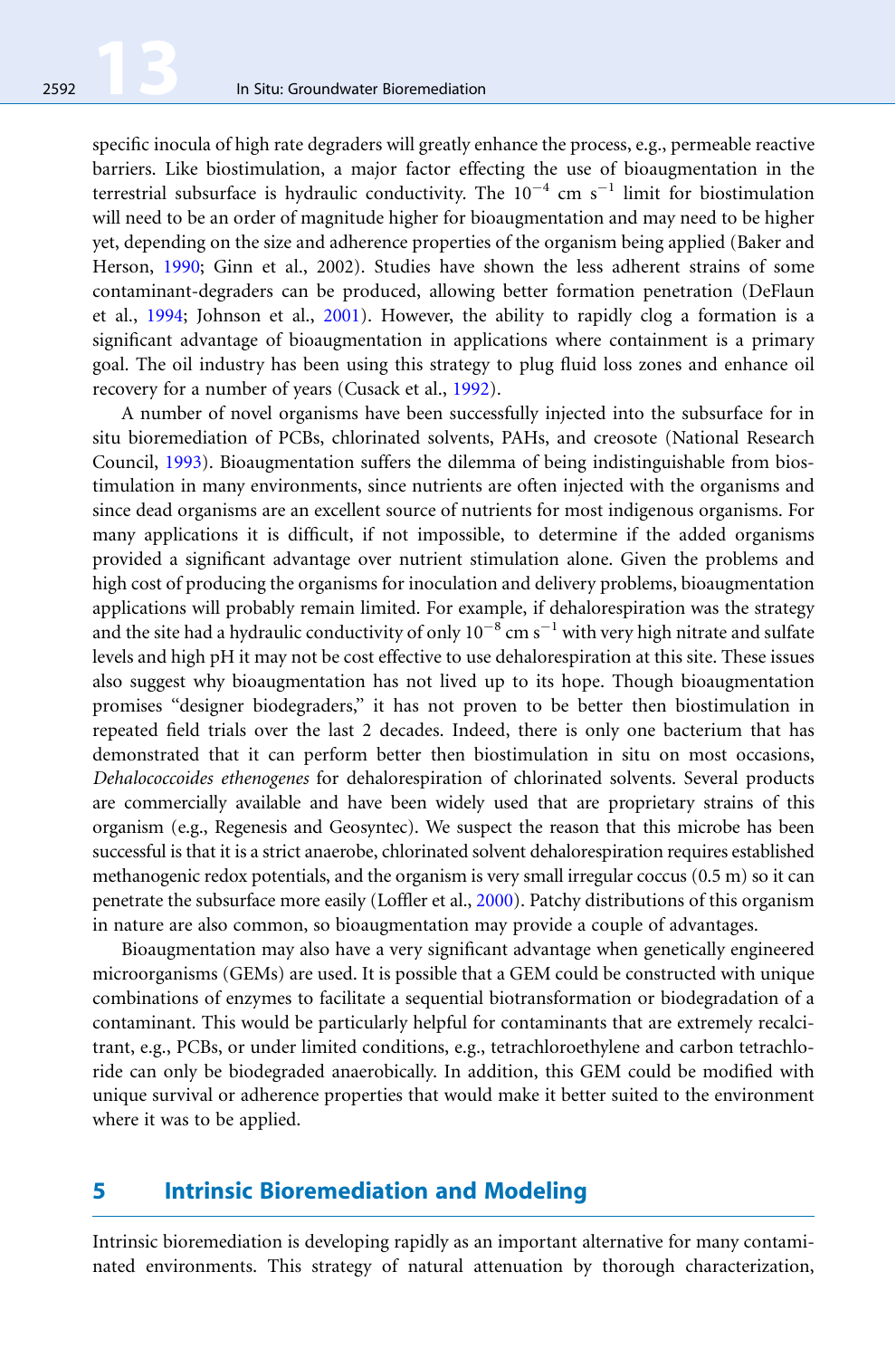specific inocula of high rate degraders will greatly enhance the process, e.g., permeable reactive barriers. Like biostimulation, a major factor effecting the use of bioaugmentation in the terrestrial subsurface is hydraulic conductivity. The  $10^{-4}$  cm s<sup>-1</sup> limit for biostimulation will need to be an order of magnitude higher for bioaugmentation and may need to be higher yet, depending on the size and adherence properties of the organism being applied (Baker and Herson, [1990](#page-12-0); Ginn et al., 2002). Studies have shown the less adherent strains of some contaminant-degraders can be produced, allowing better formation penetration (DeFlaun et al., [1994;](#page-12-0) Johnson et al., [2001\)](#page-12-0). However, the ability to rapidly clog a formation is a significant advantage of bioaugmentation in applications where containment is a primary goal. The oil industry has been using this strategy to plug fluid loss zones and enhance oil recovery for a number of years (Cusack et al., [1992](#page-12-0)).

A number of novel organisms have been successfully injected into the subsurface for in situ bioremediation of PCBs, chlorinated solvents, PAHs, and creosote (National Research Council, [1993\)](#page-13-0). Bioaugmentation suffers the dilemma of being indistinguishable from biostimulation in many environments, since nutrients are often injected with the organisms and since dead organisms are an excellent source of nutrients for most indigenous organisms. For many applications it is difficult, if not impossible, to determine if the added organisms provided a significant advantage over nutrient stimulation alone. Given the problems and high cost of producing the organisms for inoculation and delivery problems, bioaugmentation applications will probably remain limited. For example, if dehalorespiration was the strategy and the site had a hydraulic conductivity of only  $10^{-8}$  cm s<sup>-1</sup> with very high nitrate and sulfate levels and high pH it may not be cost effective to use dehalorespiration at this site. These issues also suggest why bioaugmentation has not lived up to its hope. Though bioaugmentation promises ''designer biodegraders,'' it has not proven to be better then biostimulation in repeated field trials over the last 2 decades. Indeed, there is only one bacterium that has demonstrated that it can perform better then biostimulation in situ on most occasions, Dehalococcoides ethenogenes for dehalorespiration of chlorinated solvents. Several products are commercially available and have been widely used that are proprietary strains of this organism (e.g., Regenesis and Geosyntec). We suspect the reason that this microbe has been successful is that it is a strict anaerobe, chlorinated solvent dehalorespiration requires established methanogenic redox potentials, and the organism is very small irregular coccus (0.5 m) so it can penetrate the subsurface more easily (Loffler et al., [2000\)](#page-13-0). Patchy distributions of this organism in nature are also common, so bioaugmentation may provide a couple of advantages.

Bioaugmentation may also have a very significant advantage when genetically engineered microorganisms (GEMs) are used. It is possible that a GEM could be constructed with unique combinations of enzymes to facilitate a sequential biotransformation or biodegradation of a contaminant. This would be particularly helpful for contaminants that are extremely recalcitrant, e.g., PCBs, or under limited conditions, e.g., tetrachloroethylene and carbon tetrachloride can only be biodegraded anaerobically. In addition, this GEM could be modified with unique survival or adherence properties that would make it better suited to the environment where it was to be applied.

## 5 Intrinsic Bioremediation and Modeling

Intrinsic bioremediation is developing rapidly as an important alternative for many contaminated environments. This strategy of natural attenuation by thorough characterization,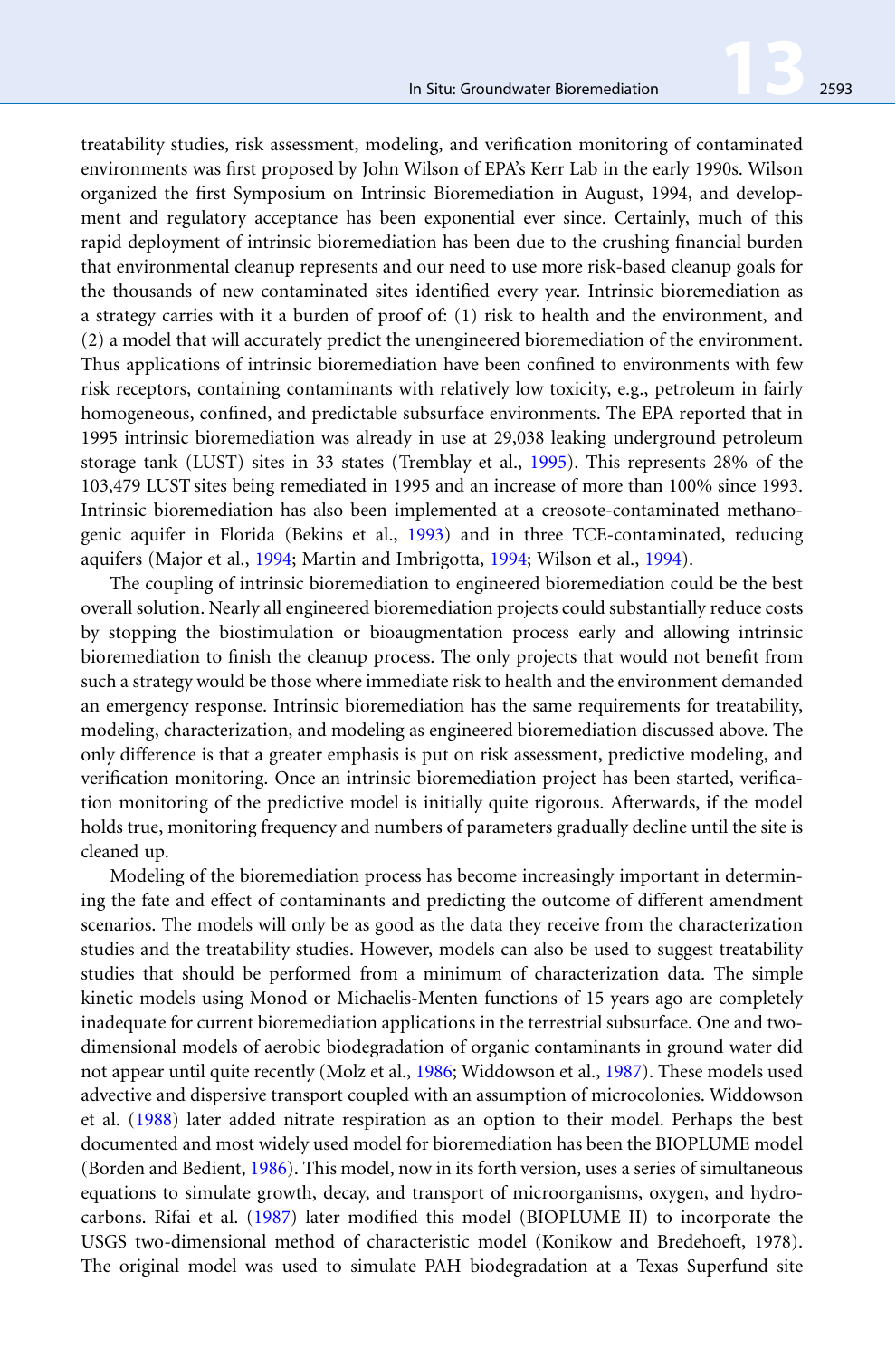treatability studies, risk assessment, modeling, and verification monitoring of contaminated environments was first proposed by John Wilson of EPA's Kerr Lab in the early 1990s. Wilson organized the first Symposium on Intrinsic Bioremediation in August, 1994, and development and regulatory acceptance has been exponential ever since. Certainly, much of this rapid deployment of intrinsic bioremediation has been due to the crushing financial burden that environmental cleanup represents and our need to use more risk-based cleanup goals for the thousands of new contaminated sites identified every year. Intrinsic bioremediation as a strategy carries with it a burden of proof of: (1) risk to health and the environment, and (2) a model that will accurately predict the unengineered bioremediation of the environment. Thus applications of intrinsic bioremediation have been confined to environments with few risk receptors, containing contaminants with relatively low toxicity, e.g., petroleum in fairly homogeneous, confined, and predictable subsurface environments. The EPA reported that in 1995 intrinsic bioremediation was already in use at 29,038 leaking underground petroleum storage tank (LUST) sites in 33 states (Tremblay et al., [1995](#page-13-0)). This represents 28% of the 103,479 LUST sites being remediated in 1995 and an increase of more than 100% since 1993. Intrinsic bioremediation has also been implemented at a creosote-contaminated methanogenic aquifer in Florida (Bekins et al., [1993\)](#page-12-0) and in three TCE-contaminated, reducing aquifers (Major et al., [1994](#page-13-0); Martin and Imbrigotta, [1994;](#page-13-0) Wilson et al., [1994](#page-13-0)).

The coupling of intrinsic bioremediation to engineered bioremediation could be the best overall solution. Nearly all engineered bioremediation projects could substantially reduce costs by stopping the biostimulation or bioaugmentation process early and allowing intrinsic bioremediation to finish the cleanup process. The only projects that would not benefit from such a strategy would be those where immediate risk to health and the environment demanded an emergency response. Intrinsic bioremediation has the same requirements for treatability, modeling, characterization, and modeling as engineered bioremediation discussed above. The only difference is that a greater emphasis is put on risk assessment, predictive modeling, and verification monitoring. Once an intrinsic bioremediation project has been started, verification monitoring of the predictive model is initially quite rigorous. Afterwards, if the model holds true, monitoring frequency and numbers of parameters gradually decline until the site is cleaned up.

Modeling of the bioremediation process has become increasingly important in determining the fate and effect of contaminants and predicting the outcome of different amendment scenarios. The models will only be as good as the data they receive from the characterization studies and the treatability studies. However, models can also be used to suggest treatability studies that should be performed from a minimum of characterization data. The simple kinetic models using Monod or Michaelis-Menten functions of 15 years ago are completely inadequate for current bioremediation applications in the terrestrial subsurface. One and twodimensional models of aerobic biodegradation of organic contaminants in ground water did not appear until quite recently (Molz et al., [1986](#page-13-0); Widdowson et al., [1987\)](#page-13-0). These models used advective and dispersive transport coupled with an assumption of microcolonies. Widdowson et al. [\(1988](#page-13-0)) later added nitrate respiration as an option to their model. Perhaps the best documented and most widely used model for bioremediation has been the BIOPLUME model (Borden and Bedient, [1986\)](#page-12-0). This model, now in its forth version, uses a series of simultaneous equations to simulate growth, decay, and transport of microorganisms, oxygen, and hydrocarbons. Rifai et al. [\(1987\)](#page-13-0) later modified this model (BIOPLUME II) to incorporate the USGS two-dimensional method of characteristic model (Konikow and Bredehoeft, 1978). The original model was used to simulate PAH biodegradation at a Texas Superfund site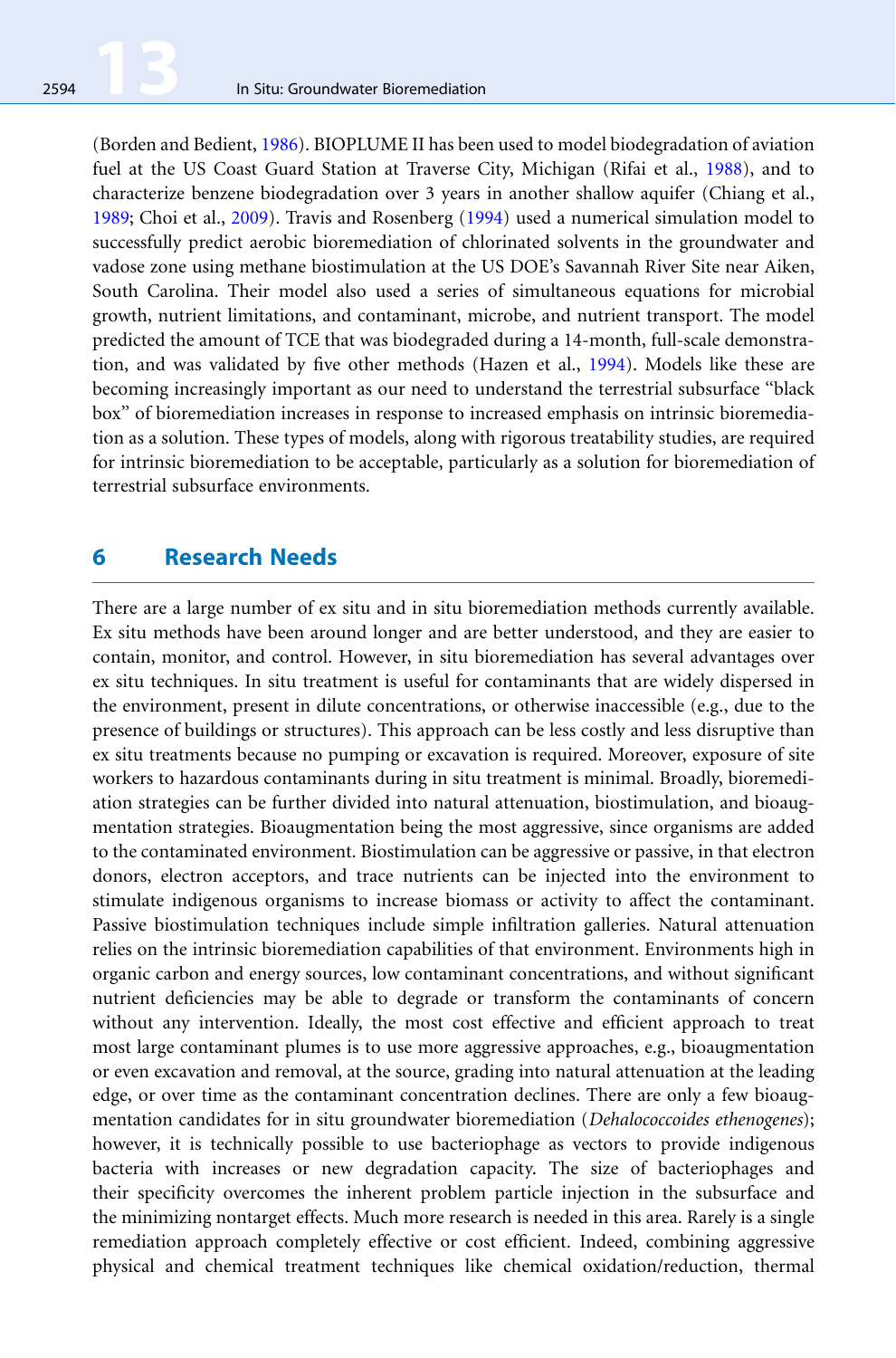(Borden and Bedient, [1986](#page-12-0)). BIOPLUME II has been used to model biodegradation of aviation fuel at the US Coast Guard Station at Traverse City, Michigan (Rifai et al., [1988](#page-13-0)), and to characterize benzene biodegradation over 3 years in another shallow aquifer (Chiang et al., [1989](#page-12-0); Choi et al., [2009\)](#page-12-0). Travis and Rosenberg ([1994\)](#page-13-0) used a numerical simulation model to successfully predict aerobic bioremediation of chlorinated solvents in the groundwater and vadose zone using methane biostimulation at the US DOE's Savannah River Site near Aiken, South Carolina. Their model also used a series of simultaneous equations for microbial growth, nutrient limitations, and contaminant, microbe, and nutrient transport. The model predicted the amount of TCE that was biodegraded during a 14-month, full-scale demonstration, and was validated by five other methods (Hazen et al., [1994\)](#page-12-0). Models like these are becoming increasingly important as our need to understand the terrestrial subsurface ''black box'' of bioremediation increases in response to increased emphasis on intrinsic bioremediation as a solution. These types of models, along with rigorous treatability studies, are required for intrinsic bioremediation to be acceptable, particularly as a solution for bioremediation of terrestrial subsurface environments.

## 6 Research Needs

There are a large number of ex situ and in situ bioremediation methods currently available. Ex situ methods have been around longer and are better understood, and they are easier to contain, monitor, and control. However, in situ bioremediation has several advantages over ex situ techniques. In situ treatment is useful for contaminants that are widely dispersed in the environment, present in dilute concentrations, or otherwise inaccessible (e.g., due to the presence of buildings or structures). This approach can be less costly and less disruptive than ex situ treatments because no pumping or excavation is required. Moreover, exposure of site workers to hazardous contaminants during in situ treatment is minimal. Broadly, bioremediation strategies can be further divided into natural attenuation, biostimulation, and bioaugmentation strategies. Bioaugmentation being the most aggressive, since organisms are added to the contaminated environment. Biostimulation can be aggressive or passive, in that electron donors, electron acceptors, and trace nutrients can be injected into the environment to stimulate indigenous organisms to increase biomass or activity to affect the contaminant. Passive biostimulation techniques include simple infiltration galleries. Natural attenuation relies on the intrinsic bioremediation capabilities of that environment. Environments high in organic carbon and energy sources, low contaminant concentrations, and without significant nutrient deficiencies may be able to degrade or transform the contaminants of concern without any intervention. Ideally, the most cost effective and efficient approach to treat most large contaminant plumes is to use more aggressive approaches, e.g., bioaugmentation or even excavation and removal, at the source, grading into natural attenuation at the leading edge, or over time as the contaminant concentration declines. There are only a few bioaugmentation candidates for in situ groundwater bioremediation (Dehalococcoides ethenogenes); however, it is technically possible to use bacteriophage as vectors to provide indigenous bacteria with increases or new degradation capacity. The size of bacteriophages and their specificity overcomes the inherent problem particle injection in the subsurface and the minimizing nontarget effects. Much more research is needed in this area. Rarely is a single remediation approach completely effective or cost efficient. Indeed, combining aggressive physical and chemical treatment techniques like chemical oxidation/reduction, thermal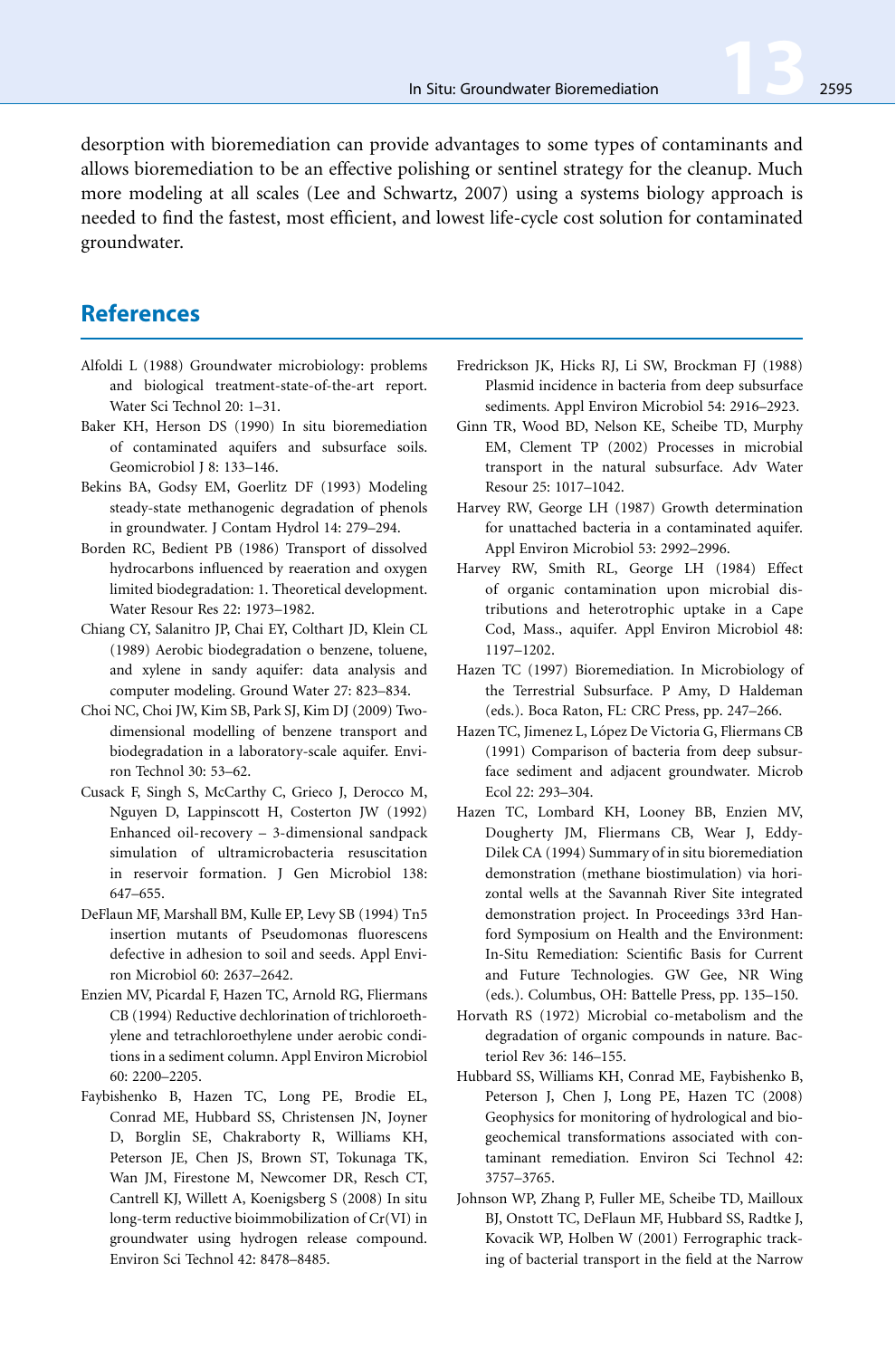<span id="page-12-0"></span>desorption with bioremediation can provide advantages to some types of contaminants and allows bioremediation to be an effective polishing or sentinel strategy for the cleanup. Much more modeling at all scales (Lee and Schwartz, 2007) using a systems biology approach is needed to find the fastest, most efficient, and lowest life-cycle cost solution for contaminated groundwater.

## **References**

- Alfoldi L (1988) Groundwater microbiology: problems and biological treatment-state-of-the-art report. Water Sci Technol 20: 1–31.
- Baker KH, Herson DS (1990) In situ bioremediation of contaminated aquifers and subsurface soils. Geomicrobiol J 8: 133–146.
- Bekins BA, Godsy EM, Goerlitz DF (1993) Modeling steady-state methanogenic degradation of phenols in groundwater. J Contam Hydrol 14: 279–294.
- Borden RC, Bedient PB (1986) Transport of dissolved hydrocarbons influenced by reaeration and oxygen limited biodegradation: 1. Theoretical development. Water Resour Res 22: 1973–1982.
- Chiang CY, Salanitro JP, Chai EY, Colthart JD, Klein CL (1989) Aerobic biodegradation o benzene, toluene, and xylene in sandy aquifer: data analysis and computer modeling. Ground Water 27: 823–834.
- Choi NC, Choi JW, Kim SB, Park SJ, Kim DJ (2009) Twodimensional modelling of benzene transport and biodegradation in a laboratory-scale aquifer. Environ Technol 30: 53–62.
- Cusack F, Singh S, McCarthy C, Grieco J, Derocco M, Nguyen D, Lappinscott H, Costerton JW (1992) Enhanced oil-recovery – 3-dimensional sandpack simulation of ultramicrobacteria resuscitation in reservoir formation. J Gen Microbiol 138: 647–655.
- DeFlaun MF, Marshall BM, Kulle EP, Levy SB (1994) Tn5 insertion mutants of Pseudomonas fluorescens defective in adhesion to soil and seeds. Appl Environ Microbiol 60: 2637–2642.
- Enzien MV, Picardal F, Hazen TC, Arnold RG, Fliermans CB (1994) Reductive dechlorination of trichloroethylene and tetrachloroethylene under aerobic conditions in a sediment column. Appl Environ Microbiol 60: 2200–2205.
- Faybishenko B, Hazen TC, Long PE, Brodie EL, Conrad ME, Hubbard SS, Christensen JN, Joyner D, Borglin SE, Chakraborty R, Williams KH, Peterson JE, Chen JS, Brown ST, Tokunaga TK, Wan JM, Firestone M, Newcomer DR, Resch CT, Cantrell KJ, Willett A, Koenigsberg S (2008) In situ long-term reductive bioimmobilization of Cr(VI) in groundwater using hydrogen release compound. Environ Sci Technol 42: 8478–8485.
- Fredrickson JK, Hicks RJ, Li SW, Brockman FJ (1988) Plasmid incidence in bacteria from deep subsurface sediments. Appl Environ Microbiol 54: 2916–2923.
- Ginn TR, Wood BD, Nelson KE, Scheibe TD, Murphy EM, Clement TP (2002) Processes in microbial transport in the natural subsurface. Adv Water Resour 25: 1017–1042.
- Harvey RW, George LH (1987) Growth determination for unattached bacteria in a contaminated aquifer. Appl Environ Microbiol 53: 2992–2996.
- Harvey RW, Smith RL, George LH (1984) Effect of organic contamination upon microbial distributions and heterotrophic uptake in a Cape Cod, Mass., aquifer. Appl Environ Microbiol 48: 1197–1202.
- Hazen TC (1997) Bioremediation. In Microbiology of the Terrestrial Subsurface. P Amy, D Haldeman (eds.). Boca Raton, FL: CRC Press, pp. 247–266.
- Hazen TC, Jimenez L, López De Victoria G, Fliermans CB (1991) Comparison of bacteria from deep subsurface sediment and adjacent groundwater. Microb Ecol 22: 293–304.
- Hazen TC, Lombard KH, Looney BB, Enzien MV, Dougherty JM, Fliermans CB, Wear J, Eddy-Dilek CA (1994) Summary of in situ bioremediation demonstration (methane biostimulation) via horizontal wells at the Savannah River Site integrated demonstration project. In Proceedings 33rd Hanford Symposium on Health and the Environment: In-Situ Remediation: Scientific Basis for Current and Future Technologies. GW Gee, NR Wing (eds.). Columbus, OH: Battelle Press, pp. 135–150.
- Horvath RS (1972) Microbial co-metabolism and the degradation of organic compounds in nature. Bacteriol Rev 36: 146–155.
- Hubbard SS, Williams KH, Conrad ME, Faybishenko B, Peterson J, Chen J, Long PE, Hazen TC (2008) Geophysics for monitoring of hydrological and biogeochemical transformations associated with contaminant remediation. Environ Sci Technol 42: 3757–3765.
- Johnson WP, Zhang P, Fuller ME, Scheibe TD, Mailloux BJ, Onstott TC, DeFlaun MF, Hubbard SS, Radtke J, Kovacik WP, Holben W (2001) Ferrographic tracking of bacterial transport in the field at the Narrow